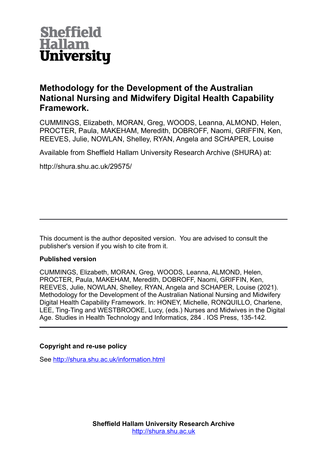

## **Methodology for the Development of the Australian National Nursing and Midwifery Digital Health Capability Framework.**

CUMMINGS, Elizabeth, MORAN, Greg, WOODS, Leanna, ALMOND, Helen, PROCTER, Paula, MAKEHAM, Meredith, DOBROFF, Naomi, GRIFFIN, Ken, REEVES, Julie, NOWLAN, Shelley, RYAN, Angela and SCHAPER, Louise

Available from Sheffield Hallam University Research Archive (SHURA) at:

http://shura.shu.ac.uk/29575/

This document is the author deposited version. You are advised to consult the publisher's version if you wish to cite from it.

### **Published version**

CUMMINGS, Elizabeth, MORAN, Greg, WOODS, Leanna, ALMOND, Helen, PROCTER, Paula, MAKEHAM, Meredith, DOBROFF, Naomi, GRIFFIN, Ken, REEVES, Julie, NOWLAN, Shelley, RYAN, Angela and SCHAPER, Louise (2021). Methodology for the Development of the Australian National Nursing and Midwifery Digital Health Capability Framework. In: HONEY, Michelle, RONQUILLO, Charlene, LEE, Ting-Ting and WESTBROOKE, Lucy, (eds.) Nurses and Midwives in the Digital Age. Studies in Health Technology and Informatics, 284 . IOS Press, 135-142.

## **Copyright and re-use policy**

See<http://shura.shu.ac.uk/information.html>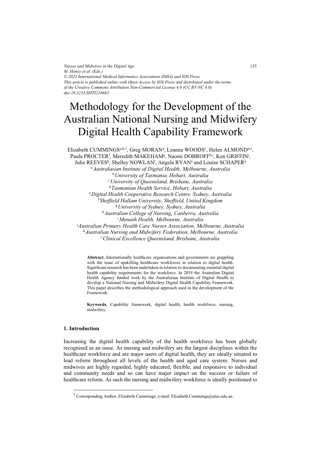*Nurses and Midwives in the Digital Age M. Honey et al. (Eds.) © 2021 International Medical Informatics Association (IMIA) and IOS Press. This article is published online with Open Access by IOS Press and distributed under the terms of the Creative Commons Attribution Non-Commercial License 4.0 (CC BY-NC 4.0). doi:10.3233/SHTI210685*

# Methodology for the Development of the Australian National Nursing and Midwifery Digital Health Capability Framework

Elizabeth CUMMINGS<sup>a,b,1</sup>, Greg MORAN<sup>a</sup>, Leanna WOODS<sup>c</sup>, Helen ALMOND<sup>d,e</sup>, Paula PROCTER<sup>f</sup>, Meredith MAKEHAM<sup>g</sup>, Naomi DOBROFF<sup>h,i</sup>, Ken GRIFFIN<sup>j</sup>, Julie REEVES<sup>k</sup>, Shelley NOWLAN<sup>I</sup>, Angela RYANª and Louise SCHAPERª <sup>a</sup>*Australasian Institute of Digital Health, Melbourne, Australia*  b*University of Tasmania, Hobart, Australia* <sup>c</sup>*University of Queensland, Brisbane, Australia*  d*Tasmanian Health Service, Hobart, Australia* <sup>e</sup>*Digital Health Cooperative Research Centre, Sydney, Australia*  f *Sheffield Hallam University, Sheffield, United Kingdom* <sup>g</sup>*University of Sydney, Sydney, Australia*  <sup>h</sup>*Australian College of Nursing, Canberra, Australia*  i *Monash Health, Melbourne, Australia*  j *Australian Primary Health Care Nurses Association, Melbourne, Australia*  <sup>k</sup>*Australian Nursing and Midwifery Federation, Melbourne, Australia*  l *Clinical Excellence Queensland, Brisbane, Australia* 

> **Abstract.** Internationally healthcare organisations and governments are grappling with the issue of upskilling healthcare workforces in relation to digital health. Significant research has been undertaken in relation to documenting essential digital health capability requirements for the workforce. In 2019 the Australian Digital Health Agency funded work by the Australasian Institute of Digital Health to develop a National Nursing and Midwifery Digital Health Capability Framework. This paper describes the methodological approach used in the development of the Framework.

> **Keywords.** Capability framework, digital health, health workforce, nursing, midwifery

#### **1. Introduction**

Increasing the digital health capability of the health workforce has been globally recognised as an issue. As nursing and midwifery are the largest disciplines within the healthcare workforce and are major users of digital health, they are ideally situated to lead reform throughout all levels of the health and aged care system. Nurses and midwives are highly regarded, highly educated, flexible, and responsive to individual and community needs and so can have major impact on the success or failure of healthcare reform. As such the nursing and midwifery workforce is ideally positioned to

<sup>&</sup>lt;sup>1</sup> Corresponding Author, Elizabeth Cummings; e-mail: Elizabeth.Cummings@utas.edu.au.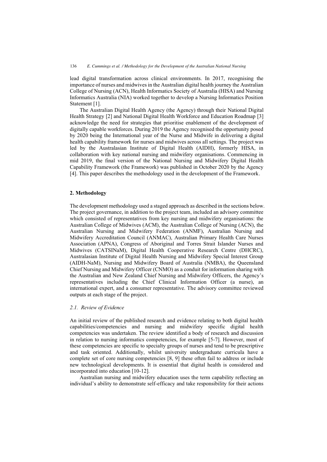lead digital transformation across clinical environments. In 2017, recognising the importance of nurses and midwives in the Australian digital health journey the Australian College of Nursing (ACN), Health Informatics Society of Australia (HISA) and Nursing Informatics Australia (NIA) worked together to develop a Nursing Informatics Position Statement [1].

The Australian Digital Health Agency (the Agency) through their National Digital Health Strategy [2] and National Digital Health Workforce and Education Roadmap [3] acknowledge the need for strategies that prioritise enablement of the development of digitally capable workforces. During 2019 the Agency recognised the opportunity posed by 2020 being the International year of the Nurse and Midwife in delivering a digital health capability framework for nurses and midwives across all settings. The project was led by the Australasian Institute of Digital Health (AIDH), formerly HISA, in collaboration with key national nursing and midwifery organisations. Commencing in mid 2019, the final version of the National Nursing and Midwifery Digital Health Capability Framework (the Framework) was published in October 2020 by the Agency [4]. This paper describes the methodology used in the development of the Framework.

#### **2. Methodology**

The development methodology used a staged approach as described in the sections below. The project governance, in addition to the project team, included an advisory committee which consisted of representatives from key nursing and midwifery organisations: the Australian College of Midwives (ACM), the Australian College of Nursing (ACN), the Australian Nursing and Midwifery Federation (ANMF), Australian Nursing and Midwifery Accreditation Council (ANMAC), Australian Primary Health Care Nurses Association (APNA), Congress of Aboriginal and Torres Strait Islander Nurses and Midwives (CATSINaM), Digital Health Cooperative Research Centre (DHCRC), Australasian Institute of Digital Health Nursing and Midwifery Special Interest Group (AIDH-NaM), Nursing and Midwifery Board of Australia (NMBA), the Queensland Chief Nursing and Midwifery Officer (CNMO) as a conduit for information sharing with the Australian and New Zealand Chief Nursing and Midwifery Officers, the Agency's representatives including the Chief Clinical Information Officer (a nurse), an international expert, and a consumer representative. The advisory committee reviewed outputs at each stage of the project.

#### *2.1. Review of Evidence*

An initial review of the published research and evidence relating to both digital health capabilities/competencies and nursing and midwifery specific digital health competencies was undertaken. The review identified a body of research and discussion in relation to nursing informatics competencies, for example [5-7]. However, most of these competencies are specific to specialty groups of nurses and tend to be prescriptive and task oriented. Additionally, whilst university undergraduate curricula have a complete set of core nursing competencies [8, 9] these often fail to address or include new technological developments. It is essential that digital health is considered and incorporated into education [10-12].

Australian nursing and midwifery education uses the term capability reflecting an individual's ability to demonstrate self-efficacy and take responsibility for their actions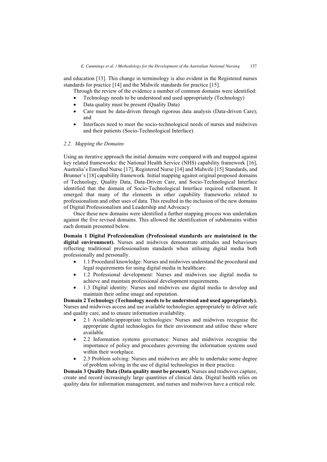and education [13]. This change in terminology is also evident in the Registered nurses standards for practice [14] and the Midwife standards for practice [15].

Through the review of the evidence a number of common domains were identified:

- -Technology needs to be understood and used appropriately (Technology)
- -Data quality must be present (Quality Data)
- $\bullet$  Care must be data-driven through rigorous data analysis (Data-driven Care); and
- $\bullet$  Interfaces need to meet the socio-technological needs of nurses and midwives and their patients (Socio-Technological Interface).

#### *2.2. Mapping the Domains*

Using an iterative approach the initial domains were compared with and mapped against key related frameworks: the National Health Service (NHS) capability framework [16], Australia's Enrolled Nurse [17], Registered Nurse [14] and Midwife [15] Standards, and Brunner's [18] capability framework*.* Initial mapping against original proposed domains of Technology, Quality Data, Data-Driven Care, and Socio-Technological Interface identified that the domain of Socio-Technological Interface required refinement. It emerged that many of the elements in other capability frameworks related to professionalism and other uses of data. This resulted in the inclusion of the new domains of Digital Professionalism and Leadership and Advocacy.

Once these new domains were identified a further mapping process was undertaken against the five revised domains. This allowed the identification of subdomains within each domain presented below.

**Domain 1 Digital Professionalism (Professional standards are maintained in the digital environment).** Nurses and midwives demonstrate attitudes and behaviours reflecting traditional professionalism standards when utilising digital media both professionally and personally.

- - 1.1 Procedural knowledge: Nurses and midwives understand the procedural and legal requirements for using digital media in healthcare.
- $\bullet$  1.2 Professional development: Nurses and midwives use digital media to achieve and maintain professional development requirements.
- $\bullet$  1.3 Digital identity: Nurses and midwives use digital media to develop and maintain their online image and reputation.

**Domain 2 Technology (Technology needs to be understood and used appropriately).**  Nurses and midwives access and use available technologies appropriately to deliver safe and quality care, and to ensure information availability.

- $\bullet$  2.1 Available/appropriate technologies: Nurses and midwives recognise the appropriate digital technologies for their environment and utilise these where available.
- $\bullet$  2.2 Information systems governance: Nurses and midwives recognise the importance of policy and procedures governing the information systems used within their workplace.
- $\bullet$  2.3 Problem solving: Nurses and midwives are able to undertake some degree of problem solving in the use of digital technologies in their practice.

**Domain 3 Quality Data (Data quality must be present).** Nurses and midwives capture, create and record increasingly large quantities of clinical data. Digital health relies on quality data for information management, and nurses and midwives have a critical role.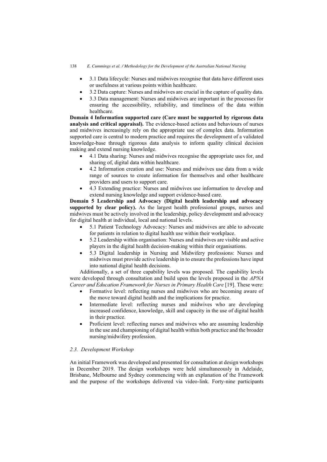- $\bullet$  3.1 Data lifecycle: Nurses and midwives recognise that data have different uses or usefulness at various points within healthcare.
- -3.2 Data capture: Nurses and midwives are crucial in the capture of quality data.
- - 3.3 Data management: Nurses and midwives are important in the processes for ensuring the accessibility, reliability, and timeliness of the data within healthcare.

**Domain 4 Information supported care (Care must be supported by rigorous data analysis and critical appraisal).** The evidence-based actions and behaviours of nurses and midwives increasingly rely on the appropriate use of complex data. Information supported care is central to modern practice and requires the development of a validated knowledge-base through rigorous data analysis to inform quality clinical decision making and extend nursing knowledge.

- $\bullet$  4.1 Data sharing: Nurses and midwives recognise the appropriate uses for, and sharing of, digital data within healthcare.
- $\bullet$  4.2 Information creation and use: Nurses and midwives use data from a wide range of sources to create information for themselves and other healthcare providers and users to support care.
- - 4.3 Extending practice: Nurses and midwives use information to develop and extend nursing knowledge and support evidence-based care.

**Domain 5 Leadership and Advocacy (Digital health leadership and advocacy supported by clear policy).** As the largest health professional groups, nurses and midwives must be actively involved in the leadership, policy development and advocacy for digital health at individual, local and national levels.

- $\bullet$  5.1 Patient Technology Advocacy: Nurses and midwives are able to advocate for patients in relation to digital health use within their workplace.
- - 5.2 Leadership within organisation: Nurses and midwives are visible and active players in the digital health decision-making within their organisations.
- $\bullet$  5.3 Digital leadership in Nursing and Midwifery professions: Nurses and midwives must provide active leadership in to ensure the professions have input into national digital health decisions.

Additionally, a set of three capability levels was proposed. The capability levels were developed through consultation and build upon the levels proposed in the *APNA Career and Education Framework for Nurses in Primary Health Care* [19]. These were:

- - Formative level: reflecting nurses and midwives who are becoming aware of the move toward digital health and the implications for practice.
- $\bullet$  Intermediate level: reflecting nurses and midwives who are developing increased confidence, knowledge, skill and capacity in the use of digital health in their practice.
- $\bullet$  Proficient level: reflecting nurses and midwives who are assuming leadership in the use and championing of digital health within both practice and the broader nursing/midwifery profession.

#### *2.3. Development Workshop*

An initial Framework was developed and presented for consultation at design workshops in December 2019. The design workshops were held simultaneously in Adelaide, Brisbane, Melbourne and Sydney commencing with an explanation of the Framework and the purpose of the workshops delivered via video-link. Forty-nine participants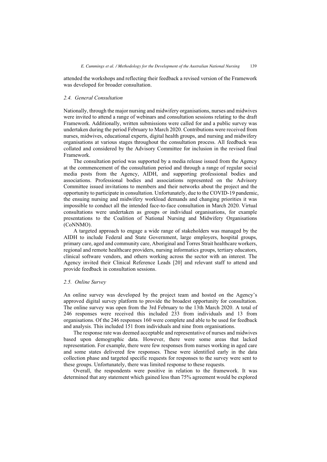attended the workshops and reflecting their feedback a revised version of the Framework was developed for broader consultation.

#### *2.4. General Consultation*

Nationally, through the major nursing and midwifery organisations, nurses and midwives were invited to attend a range of webinars and consultation sessions relating to the draft Framework. Additionally, written submissions were called for and a public survey was undertaken during the period February to March 2020. Contributions were received from nurses, midwives, educational experts, digital health groups, and nursing and midwifery organisations at various stages throughout the consultation process. All feedback was collated and considered by the Advisory Committee for inclusion in the revised final Framework.

The consultation period was supported by a media release issued from the Agency at the commencement of the consultation period and through a range of regular social media posts from the Agency, AIDH, and supporting professional bodies and associations. Professional bodies and associations represented on the Advisory Committee issued invitations to members and their networks about the project and the opportunity to participate in consultation. Unfortunately, due to the COVID-19 pandemic, the ensuing nursing and midwifery workload demands and changing priorities it was impossible to conduct all the intended face-to-face consultation in March 2020. Virtual consultations were undertaken as groups or individual organisations, for example presentations to the Coalition of National Nursing and Midwifery Organisations (CoNNMO).

A targeted approach to engage a wide range of stakeholders was managed by the AIDH to include Federal and State Government, large employers, hospital groups, primary care, aged and community care, Aboriginal and Torres Strait healthcare workers, regional and remote healthcare providers, nursing informatics groups, tertiary educators, clinical software vendors, and others working across the sector with an interest. The Agency invited their Clinical Reference Leads [20] and relevant staff to attend and provide feedback in consultation sessions.

#### *2.5. Online Survey*

An online survey was developed by the project team and hosted on the Agency's approved digital survey platform to provide the broadest opportunity for consultation. The online survey was open from the 3rd February to the 13th March 2020. A total of 246 responses were received this included 233 from individuals and 13 from organisations. Of the 246 responses 160 were complete and able to be used for feedback and analysis. This included 151 from individuals and nine from organisations.

The response rate was deemed acceptable and representative of nurses and midwives based upon demographic data. However, there were some areas that lacked representation. For example, there were few responses from nurses working in aged care and some states delivered few responses. These were identified early in the data collection phase and targeted specific requests for responses to the survey were sent to these groups. Unfortunately, there was limited response to these requests.

Overall, the respondents were positive in relation to the framework. It was determined that any statement which gained less than 75% agreement would be explored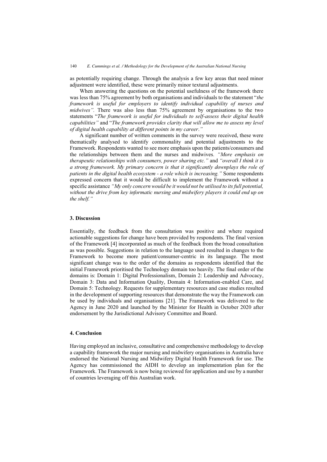as potentially requiring change. Through the analysis a few key areas that need minor adjustment were identified, these were primarily minor textural adjustments.

When answering the questions on the potential usefulness of the framework there was less than 75% agreement by both organisations and individuals to the statement "*the framework is useful for employers to identify individual capability of nurses and midwives".* There was also less than 75% agreement by organisations to the two statements "*The framework is useful for individuals to self-assess their digital health capabilities"* and "*The framework provides clarity that will allow me to assess my level of digital health capability at different points in my career*.*"* 

A significant number of written comments in the survey were received, these were thematically analysed to identify commonality and potential adjustments to the Framework. Respondents wanted to see more emphasis upon the patients/consumers and the relationships between them and the nurses and midwives*. "More emphasis on therapeutic relationships with consumers, power sharing etc."* and *"overall I think it is a strong framework. My primary concern is that it significantly downplays the role of patients in the digital health ecosystem - a role which is increasing."* Some respondents expressed concern that it would be difficult to implement the Framework without a specific assistance *"My only concern would be it would not be utilised to its full potential, without the drive from key informatic nursing and midwifery players it could end up on the shelf."* 

#### **3. Discussion**

Essentially, the feedback from the consultation was positive and where required actionable suggestions for change have been provided by respondents. The final version of the Framework [4] incorporated as much of the feedback from the broad consultation as was possible. Suggestions in relation to the language used resulted in changes to the Framework to become more patient/consumer-centric in its language. The most significant change was to the order of the domains as respondents identified that the initial Framework prioritised the Technology domain too heavily. The final order of the domains is: Domain 1: Digital Professionalism, Domain 2: Leadership and Advocacy, Domain 3: Data and Information Quality, Domain 4: Information-enabled Care, and Domain 5: Technology. Requests for supplementary resources and case studies resulted in the development of supporting resources that demonstrate the way the Framework can be used by individuals and organisations [21]. The Framework was delivered to the Agency in June 2020 and launched by the Minister for Health in October 2020 after endorsement by the Jurisdictional Advisory Committee and Board.

#### **4. Conclusion**

Having employed an inclusive, consultative and comprehensive methodology to develop a capability framework the major nursing and midwifery organisations in Australia have endorsed the National Nursing and Midwifery Digital Health Framework for use. The Agency has commissioned the AIDH to develop an implementation plan for the Framework. The Framework is now being reviewed for application and use by a number of countries leveraging off this Australian work.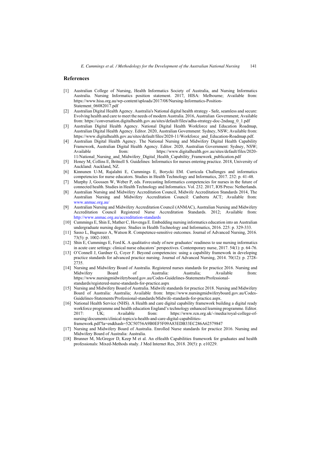#### **References**

- [1] Australian College of Nursing, Health Informatics Society of Australia, and Nursing Informatics Australia. Nursing Informatics position statement. 2017, HISA: Melbourne; Available from: https://www.hisa.org.au/wp-content/uploads/2017/08/Nursing-Informatics-Position-Statement\_06082017.pdf
- [2] Australian Digital Health Agency. Australia's National digital health strategy Safe, seamless and secure: Evolving health and care to meet the needs of modern Australia. 2016, Australian Government; Available from: https://conversation.digitalhealth.gov.au/sites/default/files/adha-strategy-doc-2ndaug\_0\_1.pdf
- [3] Australian Digital Health Agency. National Digital Health Workforce and Education Roadmap, Australian Digital Health Agency. Editor. 2020, Australian Government: Sydney, NSW; Available from: https://www.digitalhealth.gov.au/sites/default/files/2020-11/Workforce\_and\_Education-Roadmap.pdf.
- [4] Australian Digital Health Agency. The National Nursing and Midwifery Digital Health Capability Framework, Australian Digital Health Agency. Editor. 2020, Australian Government: Sydney, NSW;<br>Available from: https://www.digitalhealth.gov.au/sites/default/files/2020https://www.digitalhealth.gov.au/sites/default/files/2020-11/National\_Nursing\_and\_Midwifery\_Digital\_Health\_Capability\_Framework\_publication.pdf
- [5] Honey M, Collins E, Britnell S. Guidelines: Informatics for nurses entering practice. 2018, University of Auckland: Auckland, NZ.
- [6] Kinnunen U-M, Rajalahti E, Cummings E, Borycki EM. Curricula Challenges and informatics competencies for nurse educators. Studies in Health Technology and Informatics, 2017. 232: p. 41-48.
- [7] Murphy J, Goossen W, Weber P, eds. Forecasting Informatics competencies for nurses in the future of connected health. Studies in Health Technology and Informatics. Vol. 232. 2017, IOS Press: Netherlands.
- [8] Australian Nursing and Midwifery Accreditation Council, Midwife Accreditation Standards 2014, The Australian Nursing and Midwifery Accreditation Council: Canberra ACT; Available from: [www.anmac.org.au/](/Users/Liz/Documents/N&M%20Capability%20Framework%20Project/Phase%202/www.anmac.org.au)
- [9] Australian Nursing and Midwifery Accreditation Council (ANMAC), Australian Nursing and Midwifery Accreditation Council Registered Nurse Accreditation Standards. 2012; Available from: <http://www.anmac.org.au/accreditation-standards>
- [10] Cummings E, Shin E, Mather C, Hovenga E. Embedding nursing informatics education into an Australian undergraduate nursing degree. Studies in Health Technology and Informatics, 2016. 225: p. 329-333.
- [11] Sasso L, Bagnasco A, Watson R. Competence-sensitive outcomes. Journal of Advanced Nursing, 2016. 73(5): p. 1002-1003.
- [12] Shin E, Cummings E, Ford K. A qualitative study of new graduates' readiness to use nursing informatics in acute care settings: clinical nurse educators' perspectives. Contemporary nurse, 2017. 54(1): p. 64-76.
- [13] O'Connell J, Gardner G, Coyer F. Beyond competencies: using a capability framework in developing practice standards for advanced practice nursing. Journal of Advanced Nursing, 2014. 70(12): p. 2728- 2735.
- [14] Nursing and Midwifery Board of Australia. Registered nurses standards for practice 2016. Nursing and Midwifery Board of Australia: Australia; Available from: https://www.nursingmidwiferyboard.gov.au/Codes-Guidelines-Statements/Professionalstandards/registered-nurse-standards-for-practice.aspx
- [15] Nursing and Midwifery Board of Australia. Midwife standards for practice 2018. Nursing and Midwifery Board of Australia: Australia; Available from: https://www.nursingmidwiferyboard.gov.au/Codes-Guidelines-Statements/Professional-standards/Midwife-standards-for-practice.aspx.
- [16] National Health Service (NHS). A Health and care digital capability framework building a digital ready workforce programme and health education England's technology enhanced learning programme. Editor. 2017: UK; Available from: https://www.rcn.org.uk/-/media/royal-college-ofnursing/documents/clinical-topics/a-health-and-care-digital-capabilitiesframework.pdf?la=en&hash=52C50756A9B0EF5F09A83EDB33EC286A62579847
- [17] Nursing and Midwifery Board of Australia. Enrolled Nurse standards for practice 2016. Nursing and Midwifery Board of Australia: Australia.
- [18] Brunner M, McGregor D, Keep M et al. An eHealth Capabilities framework for graduates and health professionals: Mixed-Methods study. J Med Internet Res, 2018. 20(5): p. e10229.